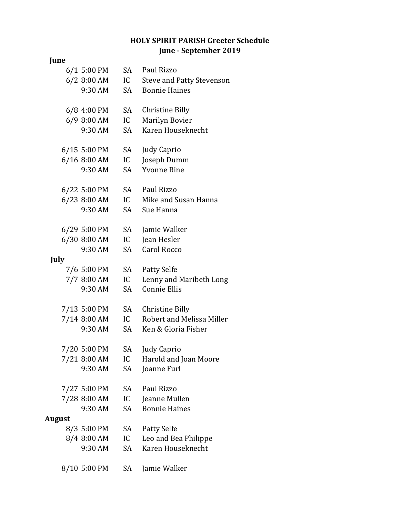## **HOLY SPIRIT PARISH Greeter Schedule June - September 2019**

## **June**

|        | 6/1 5:00 PM             | SA        | Paul Rizzo                                   |
|--------|-------------------------|-----------|----------------------------------------------|
|        | $6/2$ 8:00 AM           | IC        | <b>Steve and Patty Stevenson</b>             |
|        | 9:30 AM                 | SA        | <b>Bonnie Haines</b>                         |
|        |                         |           |                                              |
|        | 6/8 4:00 PM             | SA        | <b>Christine Billy</b>                       |
|        | 6/9 8:00 AM             | IC        | Marilyn Bovier                               |
|        | 9:30 AM                 | SA        | Karen Houseknecht                            |
|        |                         |           |                                              |
|        | 6/15 5:00 PM            | SA.       | <b>Judy Caprio</b>                           |
|        | 6/16 8:00 AM            | IC        | Joseph Dumm                                  |
|        | 9:30 AM                 | SA        | <b>Yvonne Rine</b>                           |
|        |                         |           |                                              |
|        | 6/22 5:00 PM            | SA        | Paul Rizzo                                   |
|        | 6/23 8:00 AM            | IC        | Mike and Susan Hanna                         |
|        | 9:30 AM                 | SA        | Sue Hanna                                    |
|        |                         |           |                                              |
|        | 6/29 5:00 PM            | SA        | Jamie Walker                                 |
|        | 6/30 8:00 AM            | IC        | Jean Hesler                                  |
|        | 9:30 AM                 | <b>SA</b> | Carol Rocco                                  |
| July   |                         |           |                                              |
|        | 7/6 5:00 PM             | SA        | <b>Patty Selfe</b>                           |
|        | 7/7 8:00 AM             | IC        | Lenny and Maribeth Long                      |
|        | 9:30 AM                 | SA        | <b>Connie Ellis</b>                          |
|        |                         |           |                                              |
|        | 7/13 5:00 PM            | SA        | Christine Billy<br>Robert and Melissa Miller |
|        | 7/14 8:00 AM<br>9:30 AM | IC        | Ken & Gloria Fisher                          |
|        |                         | SA        |                                              |
|        | 7/20 5:00 PM            | SA        | <b>Judy Caprio</b>                           |
|        | 7/21 8:00 AM            | IC        | Harold and Joan Moore                        |
|        | 9:30 AM                 | SA        | Joanne Furl                                  |
|        |                         |           |                                              |
|        | 7/27 5:00 PM            | SA        | Paul Rizzo                                   |
|        | 7/28 8:00 AM            | IC        | Jeanne Mullen                                |
|        | 9:30 AM                 | SA        | <b>Bonnie Haines</b>                         |
| August |                         |           |                                              |
|        | 8/3 5:00 PM             | SA        | <b>Patty Selfe</b>                           |
|        | 8/4 8:00 AM             | IC        | Leo and Bea Philippe                         |
|        | 9:30 AM                 | SA        | Karen Houseknecht                            |
|        |                         |           |                                              |
|        | 8/10 5:00 PM            | SA        | Jamie Walker                                 |